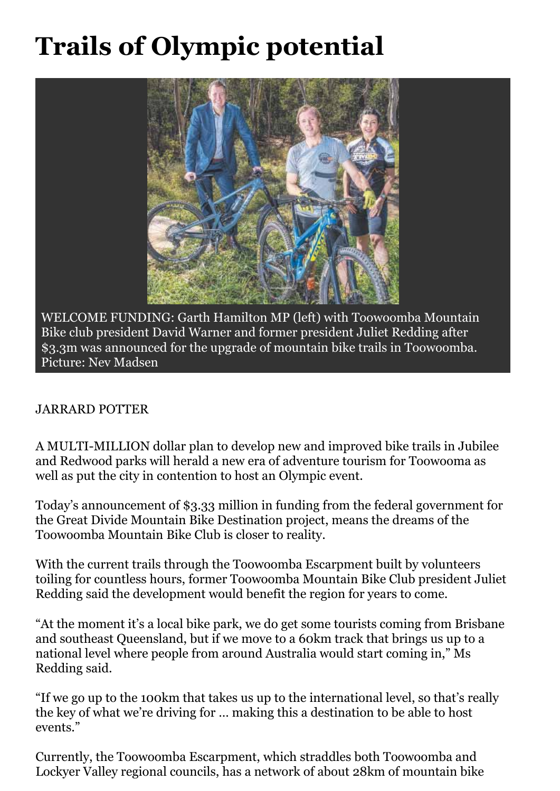## **Trails of Olympic potential**



WELCOME FUNDING: Garth Hamilton MP (left) with Toowoomba Mountain Bike club president David Warner and former president Juliet Redding after \$3.3m was announced for the upgrade of mountain bike trails in Toowoomba. Picture: Nev Madsen

## JARRARD POTTER

A MULTI-MILLION dollar plan to develop new and improved bike trails in Jubilee and Redwood parks will herald a new era of adventure tourism for Toowooma as well as put the city in contention to host an Olympic event.

Today's announcement of \$3.33 million in funding from the federal government for the Great Divide Mountain Bike Destination project, means the dreams of the Toowoomba Mountain Bike Club is closer to reality.

With the current trails through the Toowoomba Escarpment built by volunteers toiling for countless hours, former Toowoomba Mountain Bike Club president Juliet Redding said the development would benefit the region for years to come.

"At the moment it's a local bike park, we do get some tourists coming from Brisbane and southeast Queensland, but if we move to a 60km track that brings us up to a national level where people from around Australia would start coming in," Ms Redding said.

"If we go up to the 100km that takes us up to the international level, so that's really the key of what we're driving for … making this a destination to be able to host events."

Currently, the Toowoomba Escarpment, which straddles both Toowoomba and Lockyer Valley regional councils, has a network of about 28km of mountain bike